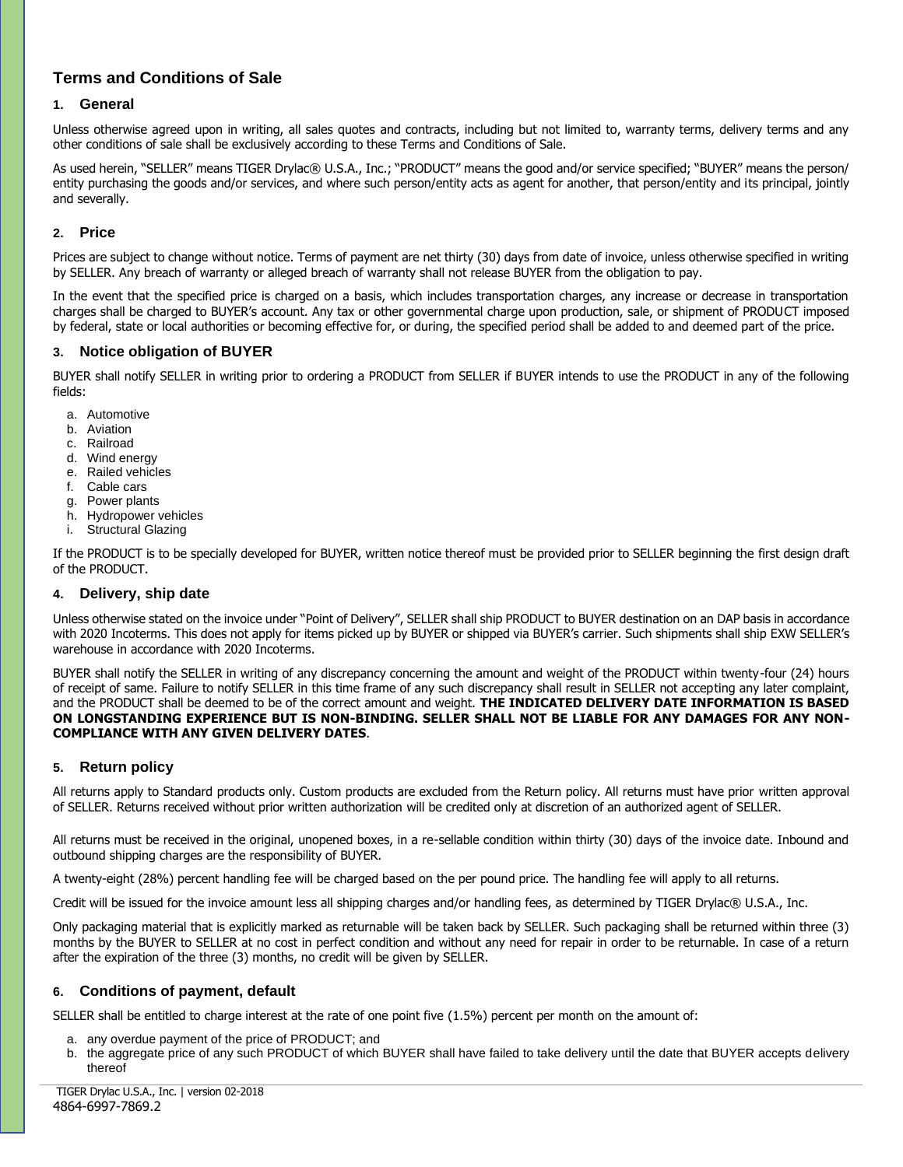# **Terms and Conditions of Sale**

# **1. General**

Unless otherwise agreed upon in writing, all sales quotes and contracts, including but not limited to, warranty terms, delivery terms and any other conditions of sale shall be exclusively according to these Terms and Conditions of Sale.

As used herein, "SELLER" means TIGER Drylac® U.S.A., Inc.; "PRODUCT" means the good and/or service specified; "BUYER" means the person/ entity purchasing the goods and/or services, and where such person/entity acts as agent for another, that person/entity and its principal, jointly and severally.

### **2. Price**

Prices are subject to change without notice. Terms of payment are net thirty (30) days from date of invoice, unless otherwise specified in writing by SELLER. Any breach of warranty or alleged breach of warranty shall not release BUYER from the obligation to pay.

In the event that the specified price is charged on a basis, which includes transportation charges, any increase or decrease in transportation charges shall be charged to BUYER's account. Any tax or other governmental charge upon production, sale, or shipment of PRODUCT imposed by federal, state or local authorities or becoming effective for, or during, the specified period shall be added to and deemed part of the price.

### **3. Notice obligation of BUYER**

BUYER shall notify SELLER in writing prior to ordering a PRODUCT from SELLER if BUYER intends to use the PRODUCT in any of the following fields:

- a. Automotive
- b. Aviation
- c. Railroad
- d. Wind energy
- e. Railed vehicles
- f. Cable cars
- g. Power plants
- h. Hydropower vehicles
- i. Structural Glazing

If the PRODUCT is to be specially developed for BUYER, written notice thereof must be provided prior to SELLER beginning the first design draft of the PRODUCT.

# **4. Delivery, ship date**

Unless otherwise stated on the invoice under "Point of Delivery", SELLER shall ship PRODUCT to BUYER destination on an DAP basis in accordance with 2020 Incoterms. This does not apply for items picked up by BUYER or shipped via BUYER's carrier. Such shipments shall ship EXW SELLER's warehouse in accordance with 2020 Incoterms.

BUYER shall notify the SELLER in writing of any discrepancy concerning the amount and weight of the PRODUCT within twenty-four (24) hours of receipt of same. Failure to notify SELLER in this time frame of any such discrepancy shall result in SELLER not accepting any later complaint, and the PRODUCT shall be deemed to be of the correct amount and weight. **THE INDICATED DELIVERY DATE INFORMATION IS BASED**  ON LONGSTANDING EXPERIENCE BUT IS NON-BINDING. SELLER SHALL NOT BE LIABLE FOR ANY DAMAGES FOR ANY NON-**COMPLIANCE WITH ANY GIVEN DELIVERY DATES**.

# **5. Return policy**

All returns apply to Standard products only. Custom products are excluded from the Return policy. All returns must have prior written approval of SELLER. Returns received without prior written authorization will be credited only at discretion of an authorized agent of SELLER.

All returns must be received in the original, unopened boxes, in a re-sellable condition within thirty (30) days of the invoice date. Inbound and outbound shipping charges are the responsibility of BUYER.

A twenty-eight (28%) percent handling fee will be charged based on the per pound price. The handling fee will apply to all returns.

Credit will be issued for the invoice amount less all shipping charges and/or handling fees, as determined by TIGER Drylac® U.S.A., Inc.

Only packaging material that is explicitly marked as returnable will be taken back by SELLER. Such packaging shall be returned within three (3) months by the BUYER to SELLER at no cost in perfect condition and without any need for repair in order to be returnable. In case of a return after the expiration of the three (3) months, no credit will be given by SELLER.

# **6. Conditions of payment, default**

SELLER shall be entitled to charge interest at the rate of one point five (1.5%) percent per month on the amount of:

- a. any overdue payment of the price of PRODUCT; and
- b. the aggregate price of any such PRODUCT of which BUYER shall have failed to take delivery until the date that BUYER accepts delivery thereof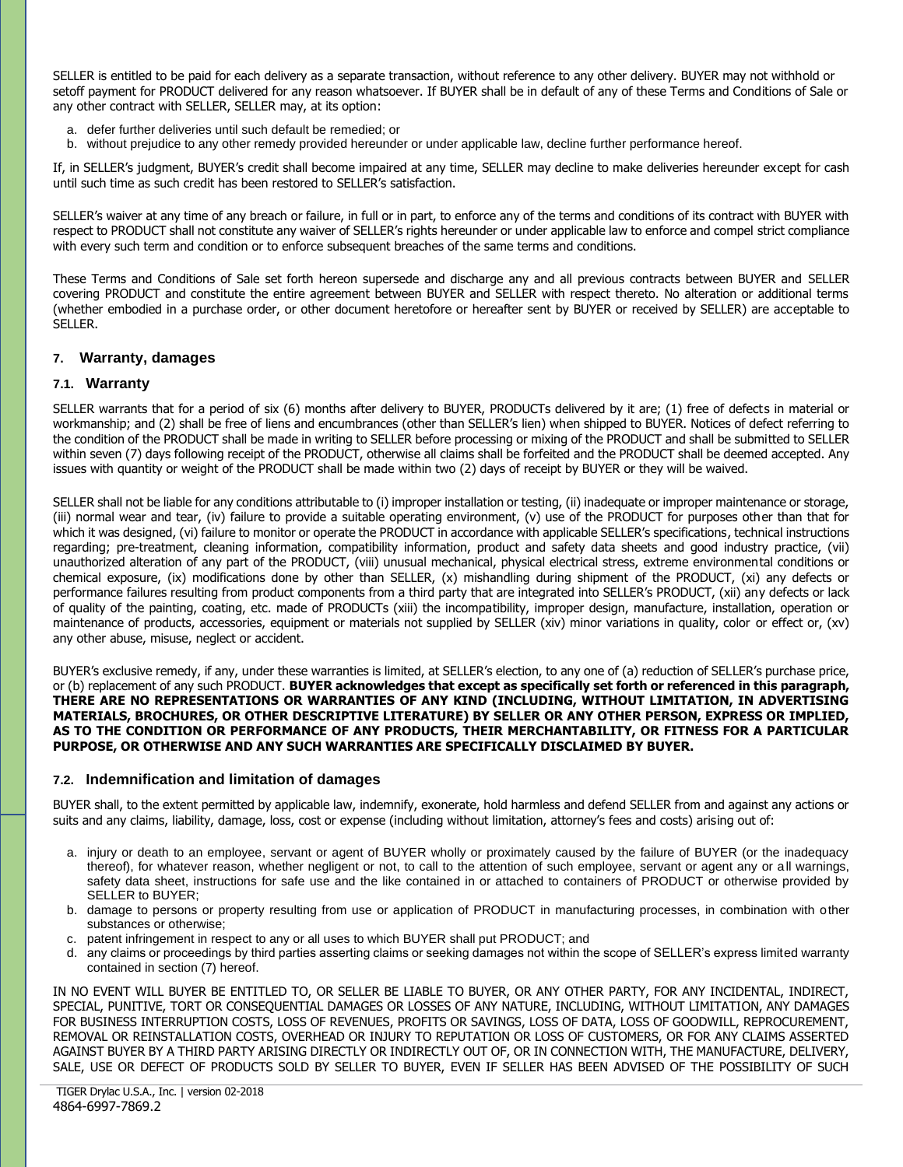SELLER is entitled to be paid for each delivery as a separate transaction, without reference to any other delivery. BUYER may not withhold or setoff payment for PRODUCT delivered for any reason whatsoever. If BUYER shall be in default of any of these Terms and Conditions of Sale or any other contract with SELLER, SELLER may, at its option:

- a. defer further deliveries until such default be remedied; or
- b. without prejudice to any other remedy provided hereunder or under applicable law, decline further performance hereof.

If, in SELLER's judgment, BUYER's credit shall become impaired at any time, SELLER may decline to make deliveries hereunder except for cash until such time as such credit has been restored to SELLER's satisfaction.

SELLER's waiver at any time of any breach or failure, in full or in part, to enforce any of the terms and conditions of its contract with BUYER with respect to PRODUCT shall not constitute any waiver of SELLER's rights hereunder or under applicable law to enforce and compel strict compliance with every such term and condition or to enforce subsequent breaches of the same terms and conditions.

These Terms and Conditions of Sale set forth hereon supersede and discharge any and all previous contracts between BUYER and SELLER covering PRODUCT and constitute the entire agreement between BUYER and SELLER with respect thereto. No alteration or additional terms (whether embodied in a purchase order, or other document heretofore or hereafter sent by BUYER or received by SELLER) are acceptable to SELLER.

### **7. Warranty, damages**

#### **7.1. Warranty**

SELLER warrants that for a period of six (6) months after delivery to BUYER, PRODUCTs delivered by it are; (1) free of defects in material or workmanship; and (2) shall be free of liens and encumbrances (other than SELLER's lien) when shipped to BUYER. Notices of defect referring to the condition of the PRODUCT shall be made in writing to SELLER before processing or mixing of the PRODUCT and shall be submitted to SELLER within seven (7) days following receipt of the PRODUCT, otherwise all claims shall be forfeited and the PRODUCT shall be deemed accepted. Any issues with quantity or weight of the PRODUCT shall be made within two (2) days of receipt by BUYER or they will be waived.

SELLER shall not be liable for any conditions attributable to (i) improper installation or testing, (ii) inadequate or improper maintenance or storage, (iii) normal wear and tear, (iv) failure to provide a suitable operating environment, (v) use of the PRODUCT for purposes other than that for which it was designed, (vi) failure to monitor or operate the PRODUCT in accordance with applicable SELLER's specifications, technical instructions regarding; pre-treatment, cleaning information, compatibility information, product and safety data sheets and good industry practice, (vii) unauthorized alteration of any part of the PRODUCT, (viii) unusual mechanical, physical electrical stress, extreme environmental conditions or chemical exposure, (ix) modifications done by other than SELLER, (x) mishandling during shipment of the PRODUCT, (xi) any defects or performance failures resulting from product components from a third party that are integrated into SELLER's PRODUCT, (xii) any defects or lack of quality of the painting, coating, etc. made of PRODUCTs (xiii) the incompatibility, improper design, manufacture, installation, operation or maintenance of products, accessories, equipment or materials not supplied by SELLER (xiv) minor variations in quality, color or effect or, (xv) any other abuse, misuse, neglect or accident.

BUYER's exclusive remedy, if any, under these warranties is limited, at SELLER's election, to any one of (a) reduction of SELLER's purchase price, or (b) replacement of any such PRODUCT. **BUYER acknowledges that except as specifically set forth or referenced in this paragraph, THERE ARE NO REPRESENTATIONS OR WARRANTIES OF ANY KIND (INCLUDING, WITHOUT LIMITATION, IN ADVERTISING MATERIALS, BROCHURES, OR OTHER DESCRIPTIVE LITERATURE) BY SELLER OR ANY OTHER PERSON, EXPRESS OR IMPLIED, AS TO THE CONDITION OR PERFORMANCE OF ANY PRODUCTS, THEIR MERCHANTABILITY, OR FITNESS FOR A PARTICULAR PURPOSE, OR OTHERWISE AND ANY SUCH WARRANTIES ARE SPECIFICALLY DISCLAIMED BY BUYER.**

#### **7.2. Indemnification and limitation of damages**

BUYER shall, to the extent permitted by applicable law, indemnify, exonerate, hold harmless and defend SELLER from and against any actions or suits and any claims, liability, damage, loss, cost or expense (including without limitation, attorney's fees and costs) arising out of:

- a. injury or death to an employee, servant or agent of BUYER wholly or proximately caused by the failure of BUYER (or the inadequacy thereof), for whatever reason, whether negligent or not, to call to the attention of such employee, servant or agent any or all warnings, safety data sheet, instructions for safe use and the like contained in or attached to containers of PRODUCT or otherwise provided by SELLER to BUYER;
- b. damage to persons or property resulting from use or application of PRODUCT in manufacturing processes, in combination with other substances or otherwise;
- c. patent infringement in respect to any or all uses to which BUYER shall put PRODUCT; and
- d. any claims or proceedings by third parties asserting claims or seeking damages not within the scope of SELLER's express limited warranty contained in section (7) hereof.

IN NO EVENT WILL BUYER BE ENTITLED TO, OR SELLER BE LIABLE TO BUYER, OR ANY OTHER PARTY, FOR ANY INCIDENTAL, INDIRECT, SPECIAL, PUNITIVE, TORT OR CONSEQUENTIAL DAMAGES OR LOSSES OF ANY NATURE, INCLUDING, WITHOUT LIMITATION, ANY DAMAGES FOR BUSINESS INTERRUPTION COSTS, LOSS OF REVENUES, PROFITS OR SAVINGS, LOSS OF DATA, LOSS OF GOODWILL, REPROCUREMENT, REMOVAL OR REINSTALLATION COSTS, OVERHEAD OR INJURY TO REPUTATION OR LOSS OF CUSTOMERS, OR FOR ANY CLAIMS ASSERTED AGAINST BUYER BY A THIRD PARTY ARISING DIRECTLY OR INDIRECTLY OUT OF, OR IN CONNECTION WITH, THE MANUFACTURE, DELIVERY, SALE, USE OR DEFECT OF PRODUCTS SOLD BY SELLER TO BUYER, EVEN IF SELLER HAS BEEN ADVISED OF THE POSSIBILITY OF SUCH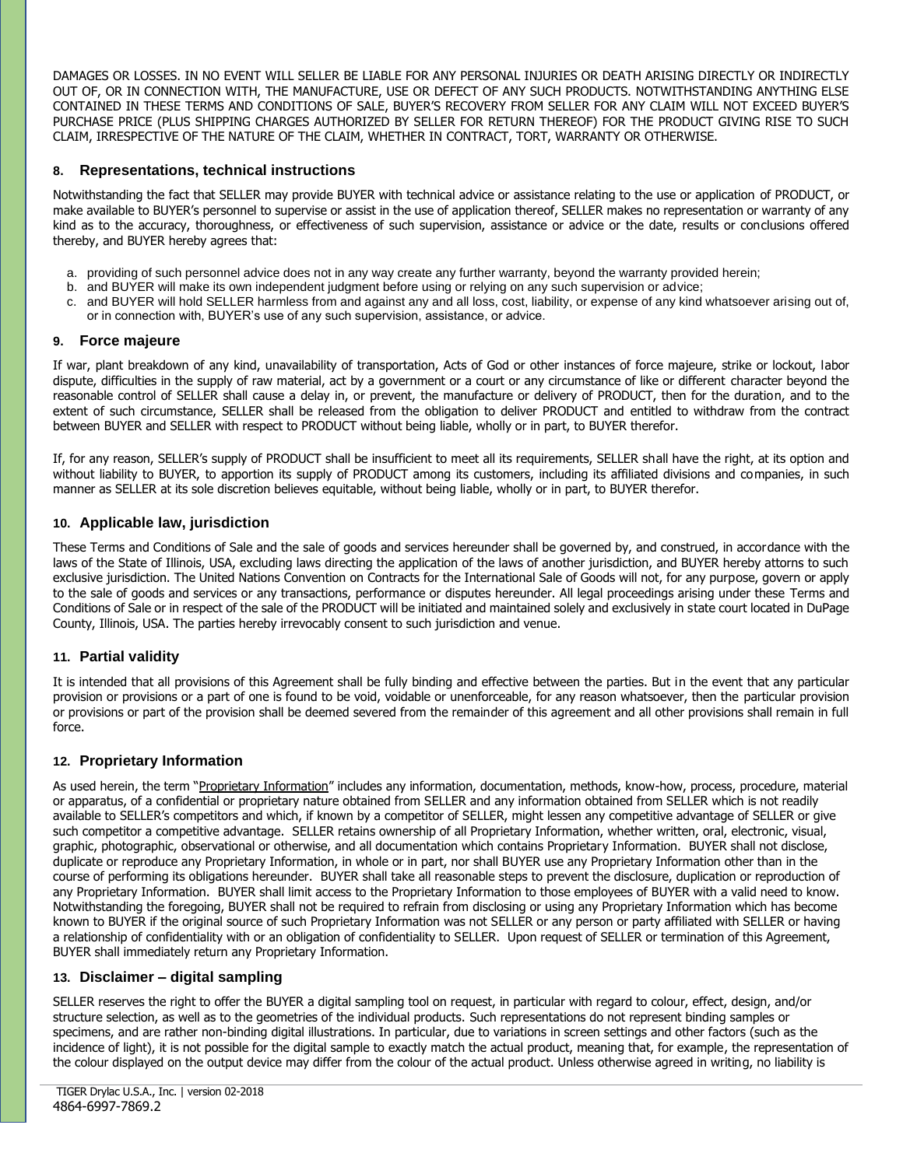DAMAGES OR LOSSES. IN NO EVENT WILL SELLER BE LIABLE FOR ANY PERSONAL INJURIES OR DEATH ARISING DIRECTLY OR INDIRECTLY OUT OF, OR IN CONNECTION WITH, THE MANUFACTURE, USE OR DEFECT OF ANY SUCH PRODUCTS. NOTWITHSTANDING ANYTHING ELSE CONTAINED IN THESE TERMS AND CONDITIONS OF SALE, BUYER'S RECOVERY FROM SELLER FOR ANY CLAIM WILL NOT EXCEED BUYER'S PURCHASE PRICE (PLUS SHIPPING CHARGES AUTHORIZED BY SELLER FOR RETURN THEREOF) FOR THE PRODUCT GIVING RISE TO SUCH CLAIM, IRRESPECTIVE OF THE NATURE OF THE CLAIM, WHETHER IN CONTRACT, TORT, WARRANTY OR OTHERWISE.

# **8. Representations, technical instructions**

Notwithstanding the fact that SELLER may provide BUYER with technical advice or assistance relating to the use or application of PRODUCT, or make available to BUYER's personnel to supervise or assist in the use of application thereof, SELLER makes no representation or warranty of any kind as to the accuracy, thoroughness, or effectiveness of such supervision, assistance or advice or the date, results or conclusions offered thereby, and BUYER hereby agrees that:

- a. providing of such personnel advice does not in any way create any further warranty, beyond the warranty provided herein;
- b. and BUYER will make its own independent judgment before using or relying on any such supervision or advice;
- c. and BUYER will hold SELLER harmless from and against any and all loss, cost, liability, or expense of any kind whatsoever arising out of, or in connection with, BUYER's use of any such supervision, assistance, or advice.

# **9. Force majeure**

If war, plant breakdown of any kind, unavailability of transportation, Acts of God or other instances of force majeure, strike or lockout, labor dispute, difficulties in the supply of raw material, act by a government or a court or any circumstance of like or different character beyond the reasonable control of SELLER shall cause a delay in, or prevent, the manufacture or delivery of PRODUCT, then for the duration, and to the extent of such circumstance, SELLER shall be released from the obligation to deliver PRODUCT and entitled to withdraw from the contract between BUYER and SELLER with respect to PRODUCT without being liable, wholly or in part, to BUYER therefor.

If, for any reason, SELLER's supply of PRODUCT shall be insufficient to meet all its requirements, SELLER shall have the right, at its option and without liability to BUYER, to apportion its supply of PRODUCT among its customers, including its affiliated divisions and companies, in such manner as SELLER at its sole discretion believes equitable, without being liable, wholly or in part, to BUYER therefor.

# **10. Applicable law, jurisdiction**

These Terms and Conditions of Sale and the sale of goods and services hereunder shall be governed by, and construed, in accordance with the laws of the State of Illinois, USA, excluding laws directing the application of the laws of another jurisdiction, and BUYER hereby attorns to such exclusive jurisdiction. The United Nations Convention on Contracts for the International Sale of Goods will not, for any purpose, govern or apply to the sale of goods and services or any transactions, performance or disputes hereunder. All legal proceedings arising under these Terms and Conditions of Sale or in respect of the sale of the PRODUCT will be initiated and maintained solely and exclusively in state court located in DuPage County, Illinois, USA. The parties hereby irrevocably consent to such jurisdiction and venue.

# **11. Partial validity**

It is intended that all provisions of this Agreement shall be fully binding and effective between the parties. But in the event that any particular provision or provisions or a part of one is found to be void, voidable or unenforceable, for any reason whatsoever, then the particular provision or provisions or part of the provision shall be deemed severed from the remainder of this agreement and all other provisions shall remain in full force.

# **12. Proprietary Information**

As used herein, the term "Proprietary Information" includes any information, documentation, methods, know-how, process, procedure, material or apparatus, of a confidential or proprietary nature obtained from SELLER and any information obtained from SELLER which is not readily available to SELLER's competitors and which, if known by a competitor of SELLER, might lessen any competitive advantage of SELLER or give such competitor a competitive advantage. SELLER retains ownership of all Proprietary Information, whether written, oral, electronic, visual, graphic, photographic, observational or otherwise, and all documentation which contains Proprietary Information. BUYER shall not disclose, duplicate or reproduce any Proprietary Information, in whole or in part, nor shall BUYER use any Proprietary Information other than in the course of performing its obligations hereunder. BUYER shall take all reasonable steps to prevent the disclosure, duplication or reproduction of any Proprietary Information. BUYER shall limit access to the Proprietary Information to those employees of BUYER with a valid need to know. Notwithstanding the foregoing, BUYER shall not be required to refrain from disclosing or using any Proprietary Information which has become known to BUYER if the original source of such Proprietary Information was not SELLER or any person or party affiliated with SELLER or having a relationship of confidentiality with or an obligation of confidentiality to SELLER. Upon request of SELLER or termination of this Agreement, BUYER shall immediately return any Proprietary Information.

# **13. Disclaimer – digital sampling**

SELLER reserves the right to offer the BUYER a digital sampling tool on request, in particular with regard to colour, effect, design, and/or structure selection, as well as to the geometries of the individual products. Such representations do not represent binding samples or specimens, and are rather non-binding digital illustrations. In particular, due to variations in screen settings and other factors (such as the incidence of light), it is not possible for the digital sample to exactly match the actual product, meaning that, for example, the representation of the colour displayed on the output device may differ from the colour of the actual product. Unless otherwise agreed in writing, no liability is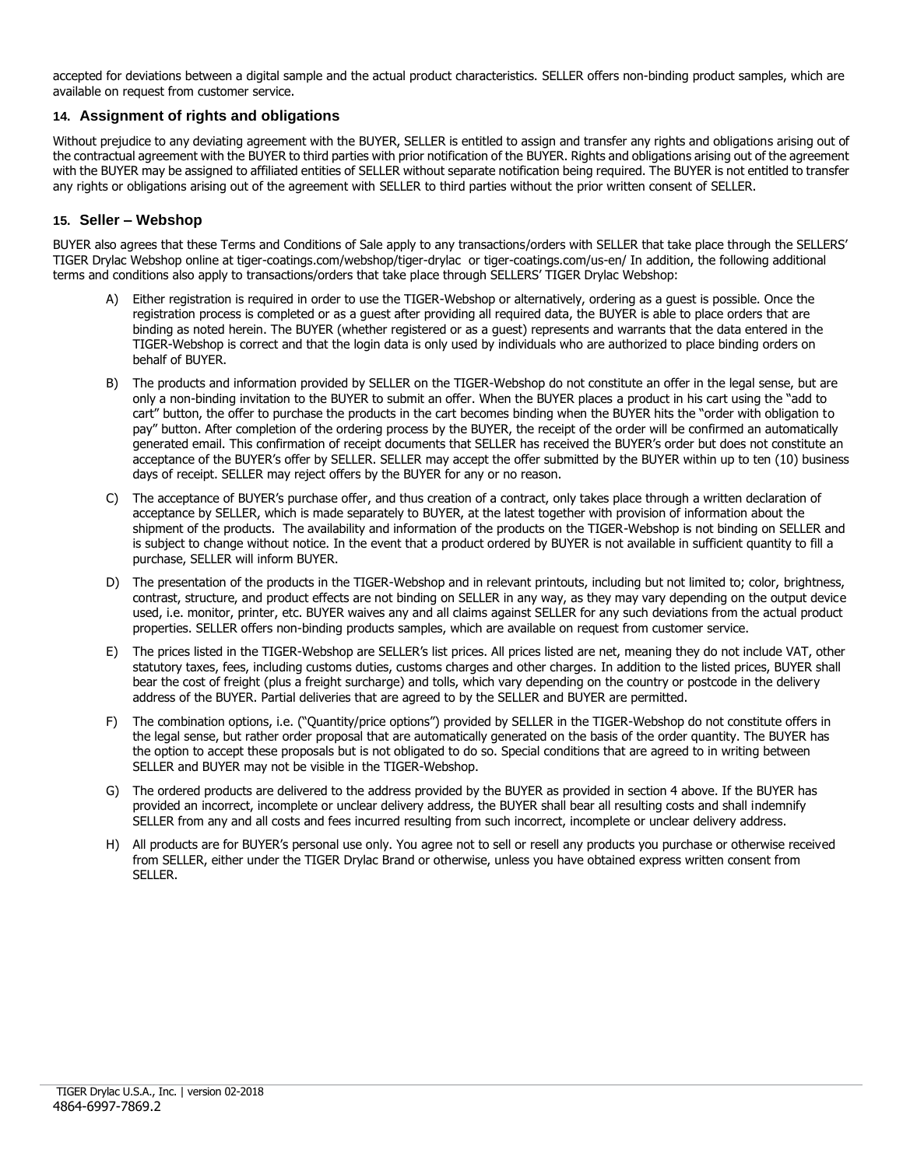accepted for deviations between a digital sample and the actual product characteristics. SELLER offers non-binding product samples, which are available on request from customer service.

# **14. Assignment of rights and obligations**

Without prejudice to any deviating agreement with the BUYER, SELLER is entitled to assign and transfer any rights and obligations arising out of the contractual agreement with the BUYER to third parties with prior notification of the BUYER. Rights and obligations arising out of the agreement with the BUYER may be assigned to affiliated entities of SELLER without separate notification being required. The BUYER is not entitled to transfer any rights or obligations arising out of the agreement with SELLER to third parties without the prior written consent of SELLER.

# **15. Seller – Webshop**

BUYER also agrees that these Terms and Conditions of Sale apply to any transactions/orders with SELLER that take place through the SELLERS' TIGER Drylac Webshop online at tiger-coatings.com/webshop/tiger-drylac or tiger-coatings.com/us-en/ In addition, the following additional terms and conditions also apply to transactions/orders that take place through SELLERS' TIGER Drylac Webshop:

- A) Either registration is required in order to use the TIGER-Webshop or alternatively, ordering as a guest is possible. Once the registration process is completed or as a guest after providing all required data, the BUYER is able to place orders that are binding as noted herein. The BUYER (whether registered or as a guest) represents and warrants that the data entered in the TIGER-Webshop is correct and that the login data is only used by individuals who are authorized to place binding orders on behalf of BUYER.
- B) The products and information provided by SELLER on the TIGER-Webshop do not constitute an offer in the legal sense, but are only a non-binding invitation to the BUYER to submit an offer. When the BUYER places a product in his cart using the "add to cart" button, the offer to purchase the products in the cart becomes binding when the BUYER hits the "order with obligation to pay" button. After completion of the ordering process by the BUYER, the receipt of the order will be confirmed an automatically generated email. This confirmation of receipt documents that SELLER has received the BUYER's order but does not constitute an acceptance of the BUYER's offer by SELLER. SELLER may accept the offer submitted by the BUYER within up to ten (10) business days of receipt. SELLER may reject offers by the BUYER for any or no reason.
- C) The acceptance of BUYER's purchase offer, and thus creation of a contract, only takes place through a written declaration of acceptance by SELLER, which is made separately to BUYER, at the latest together with provision of information about the shipment of the products. The availability and information of the products on the TIGER-Webshop is not binding on SELLER and is subject to change without notice. In the event that a product ordered by BUYER is not available in sufficient quantity to fill a purchase, SELLER will inform BUYER.
- D) The presentation of the products in the TIGER-Webshop and in relevant printouts, including but not limited to; color, brightness, contrast, structure, and product effects are not binding on SELLER in any way, as they may vary depending on the output device used, i.e. monitor, printer, etc. BUYER waives any and all claims against SELLER for any such deviations from the actual product properties. SELLER offers non-binding products samples, which are available on request from customer service.
- E) The prices listed in the TIGER-Webshop are SELLER's list prices. All prices listed are net, meaning they do not include VAT, other statutory taxes, fees, including customs duties, customs charges and other charges. In addition to the listed prices, BUYER shall bear the cost of freight (plus a freight surcharge) and tolls, which vary depending on the country or postcode in the delivery address of the BUYER. Partial deliveries that are agreed to by the SELLER and BUYER are permitted.
- F) The combination options, i.e. ("Quantity/price options") provided by SELLER in the TIGER-Webshop do not constitute offers in the legal sense, but rather order proposal that are automatically generated on the basis of the order quantity. The BUYER has the option to accept these proposals but is not obligated to do so. Special conditions that are agreed to in writing between SELLER and BUYER may not be visible in the TIGER-Webshop.
- G) The ordered products are delivered to the address provided by the BUYER as provided in section 4 above. If the BUYER has provided an incorrect, incomplete or unclear delivery address, the BUYER shall bear all resulting costs and shall indemnify SELLER from any and all costs and fees incurred resulting from such incorrect, incomplete or unclear delivery address.
- H) All products are for BUYER's personal use only. You agree not to sell or resell any products you purchase or otherwise received from SELLER, either under the TIGER Drylac Brand or otherwise, unless you have obtained express written consent from SELLER.